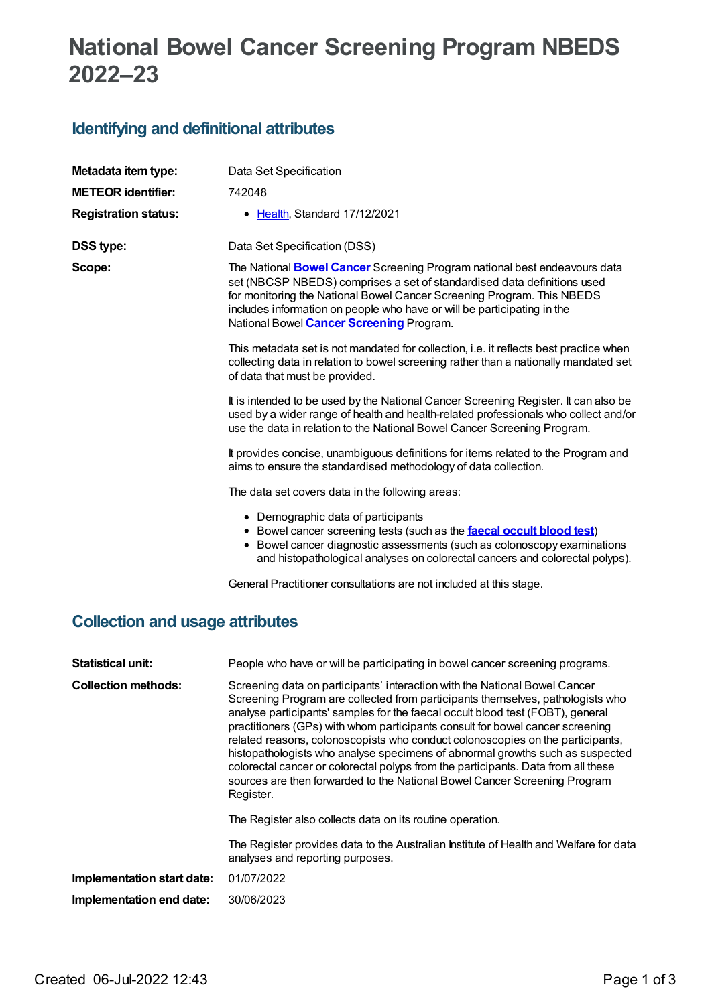## **National Bowel Cancer Screening Program NBEDS 2022–23**

## **Identifying and definitional attributes**

| Metadata item type:                    | Data Set Specification                                                                                                                                                                                                                                                                                                                                              |  |  |  |
|----------------------------------------|---------------------------------------------------------------------------------------------------------------------------------------------------------------------------------------------------------------------------------------------------------------------------------------------------------------------------------------------------------------------|--|--|--|
| <b>METEOR</b> identifier:              | 742048                                                                                                                                                                                                                                                                                                                                                              |  |  |  |
| <b>Registration status:</b>            | • Health, Standard 17/12/2021                                                                                                                                                                                                                                                                                                                                       |  |  |  |
| <b>DSS type:</b>                       | Data Set Specification (DSS)                                                                                                                                                                                                                                                                                                                                        |  |  |  |
| Scope:                                 | The National <b>Bowel Cancer</b> Screening Program national best endeavours data<br>set (NBCSP NBEDS) comprises a set of standardised data definitions used<br>for monitoring the National Bowel Cancer Screening Program. This NBEDS<br>includes information on people who have or will be participating in the<br>National Bowel <b>Cancer Screening</b> Program. |  |  |  |
|                                        | This metadata set is not mandated for collection, i.e. it reflects best practice when<br>collecting data in relation to bowel screening rather than a nationally mandated set<br>of data that must be provided.                                                                                                                                                     |  |  |  |
|                                        | It is intended to be used by the National Cancer Screening Register. It can also be<br>used by a wider range of health and health-related professionals who collect and/or<br>use the data in relation to the National Bowel Cancer Screening Program.                                                                                                              |  |  |  |
|                                        | It provides concise, unambiguous definitions for items related to the Program and<br>aims to ensure the standardised methodology of data collection.                                                                                                                                                                                                                |  |  |  |
|                                        | The data set covers data in the following areas:                                                                                                                                                                                                                                                                                                                    |  |  |  |
|                                        | • Demographic data of participants<br>• Bowel cancer screening tests (such as the <b>faecal occult blood test)</b><br>• Bowel cancer diagnostic assessments (such as colonoscopy examinations<br>and histopathological analyses on colorectal cancers and colorectal polyps).                                                                                       |  |  |  |
|                                        | General Practitioner consultations are not included at this stage.                                                                                                                                                                                                                                                                                                  |  |  |  |
| <b>Collection and usage attributes</b> |                                                                                                                                                                                                                                                                                                                                                                     |  |  |  |
| <b>Statistical unit:</b>               | People who have or will be participating in bowel cancer screening programs.                                                                                                                                                                                                                                                                                        |  |  |  |

**Collection methods:** Screening data on participants' interaction with the National Bowel Cancer Screening Program are collected from participants themselves, pathologists who analyse participants' samples for the faecal occult blood test (FOBT), general practitioners (GPs) with whom participants consult for bowel cancer screening related reasons, colonoscopists who conduct colonoscopies on the participants, histopathologists who analyse specimens of abnormal growths such as suspected colorectal cancer or colorectal polyps from the participants. Data from all these sources are then forwarded to the National Bowel Cancer Screening Program Register.

The Register also collects data on its routine operation.

The Register provides data to the Australian Institute of Health and Welfare for data analyses and reporting purposes.

**Implementation start date:** 01/07/2022

**Implementation end date:** 30/06/2023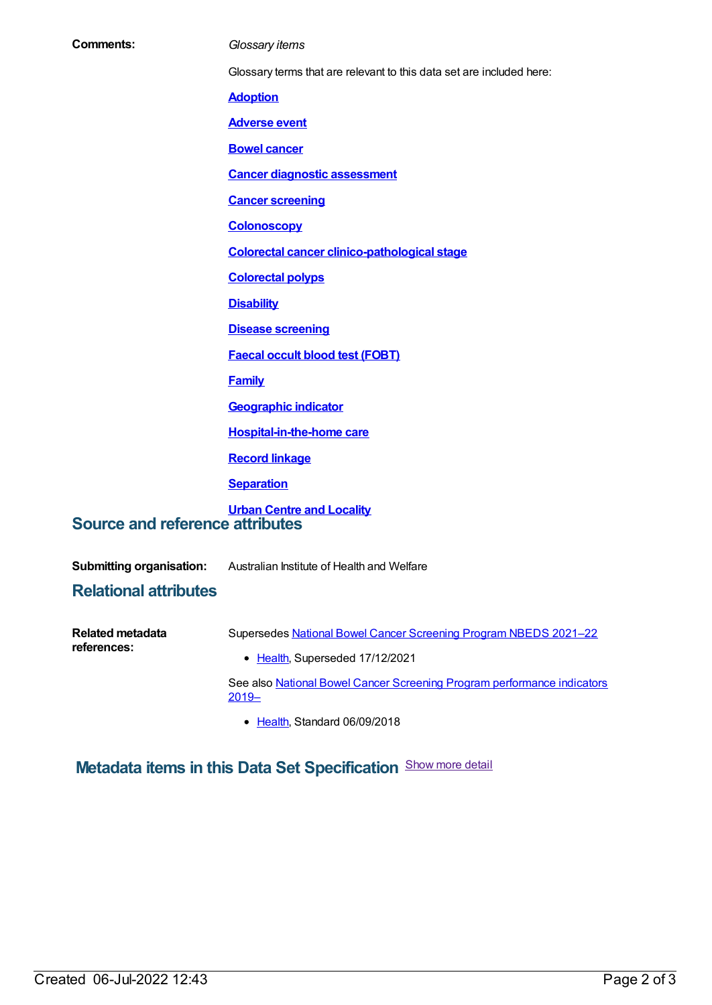| <b>Comments:</b>                       | Glossary items                                                       |
|----------------------------------------|----------------------------------------------------------------------|
|                                        | Glossary terms that are relevant to this data set are included here: |
|                                        | <b>Adoption</b>                                                      |
|                                        | <b>Adverse event</b>                                                 |
|                                        | <b>Bowel cancer</b>                                                  |
|                                        | <b>Cancer diagnostic assessment</b>                                  |
|                                        | <b>Cancer screening</b>                                              |
|                                        | <b>Colonoscopy</b>                                                   |
|                                        | <b>Colorectal cancer clinico-pathological stage</b>                  |
|                                        | <b>Colorectal polyps</b>                                             |
|                                        | <b>Disability</b>                                                    |
|                                        | <b>Disease screening</b>                                             |
|                                        | <b>Faecal occult blood test (FOBT)</b>                               |
|                                        | <b>Family</b>                                                        |
|                                        | <b>Geographic indicator</b>                                          |
|                                        | <b>Hospital-in-the-home care</b>                                     |
|                                        | <b>Record linkage</b>                                                |
|                                        | <b>Separation</b>                                                    |
| <b>Source and reference attributes</b> | <b>Urban Centre and Locality</b>                                     |
| <b>Submitting organisation:</b>        | Australian Institute of Health and Welfare                           |
| <b>Relational attributes</b>           |                                                                      |

| Related metadata<br>references: | Supersedes National Bowel Cancer Screening Program NBEDS 2021-22                    |
|---------------------------------|-------------------------------------------------------------------------------------|
|                                 | • Health, Superseded 17/12/2021                                                     |
|                                 | See also National Bowel Cancer Screening Program performance indicators<br>$2019 -$ |

● [Health](https://meteor.aihw.gov.au/RegistrationAuthority/12), Standard 06/09/2018

**Metadata items in this Data Set Specification** Show more detail